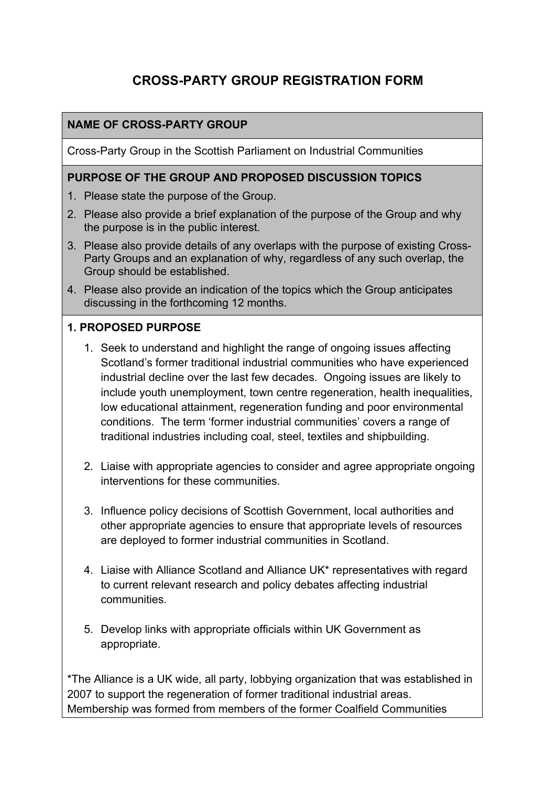# **CROSS-PARTY GROUP REGISTRATION FORM**

### **NAME OF CROSS-PARTY GROUP**

Cross-Party Group in the Scottish Parliament on Industrial Communities

#### **PURPOSE OF THE GROUP AND PROPOSED DISCUSSION TOPICS**

- 1. Please state the purpose of the Group.
- 2. Please also provide a brief explanation of the purpose of the Group and why the purpose is in the public interest.
- 3. Please also provide details of any overlaps with the purpose of existing Cross-Party Groups and an explanation of why, regardless of any such overlap, the Group should be established.
- 4. Please also provide an indication of the topics which the Group anticipates discussing in the forthcoming 12 months.

#### **1. PROPOSED PURPOSE**

- 1. Seek to understand and highlight the range of ongoing issues affecting Scotland's former traditional industrial communities who have experienced industrial decline over the last few decades. Ongoing issues are likely to include youth unemployment, town centre regeneration, health inequalities, low educational attainment, regeneration funding and poor environmental conditions. The term 'former industrial communities' covers a range of traditional industries including coal, steel, textiles and shipbuilding.
- 2. Liaise with appropriate agencies to consider and agree appropriate ongoing interventions for these communities.
- 3. Influence policy decisions of Scottish Government, local authorities and other appropriate agencies to ensure that appropriate levels of resources are deployed to former industrial communities in Scotland.
- 4. Liaise with Alliance Scotland and Alliance UK\* representatives with regard to current relevant research and policy debates affecting industrial communities.
- 5. Develop links with appropriate officials within UK Government as appropriate.

\*The Alliance is a UK wide, all party, lobbying organization that was established in 2007 to support the regeneration of former traditional industrial areas. Membership was formed from members of the former Coalfield Communities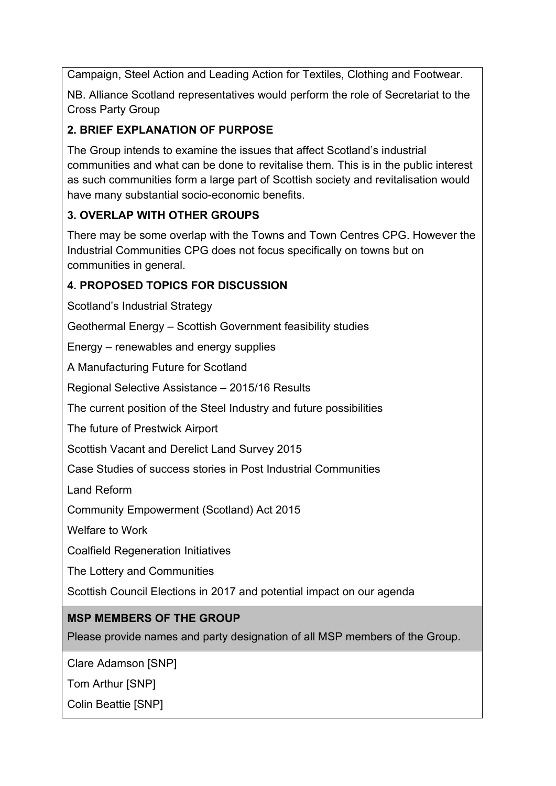Campaign, Steel Action and Leading Action for Textiles, Clothing and Footwear.

NB. Alliance Scotland representatives would perform the role of Secretariat to the Cross Party Group

# **2. BRIEF EXPLANATION OF PURPOSE**

The Group intends to examine the issues that affect Scotland's industrial communities and what can be done to revitalise them. This is in the public interest as such communities form a large part of Scottish society and revitalisation would have many substantial socio-economic benefits.

# **3. OVERLAP WITH OTHER GROUPS**

There may be some overlap with the Towns and Town Centres CPG. However the Industrial Communities CPG does not focus specifically on towns but on communities in general.

# **4. PROPOSED TOPICS FOR DISCUSSION**

Scotland's Industrial Strategy

Geothermal Energy – Scottish Government feasibility studies

Energy – renewables and energy supplies

A Manufacturing Future for Scotland

Regional Selective Assistance – 2015/16 Results

The current position of the Steel Industry and future possibilities

The future of Prestwick Airport

Scottish Vacant and Derelict Land Survey 2015

Case Studies of success stories in Post Industrial Communities

Land Reform

Community Empowerment (Scotland) Act 2015

Welfare to Work

Coalfield Regeneration Initiatives

The Lottery and Communities

Scottish Council Elections in 2017 and potential impact on our agenda

# **MSP MEMBERS OF THE GROUP**

Please provide names and party designation of all MSP members of the Group.

Clare Adamson [SNP]

Tom Arthur [SNP]

Colin Beattie [SNP]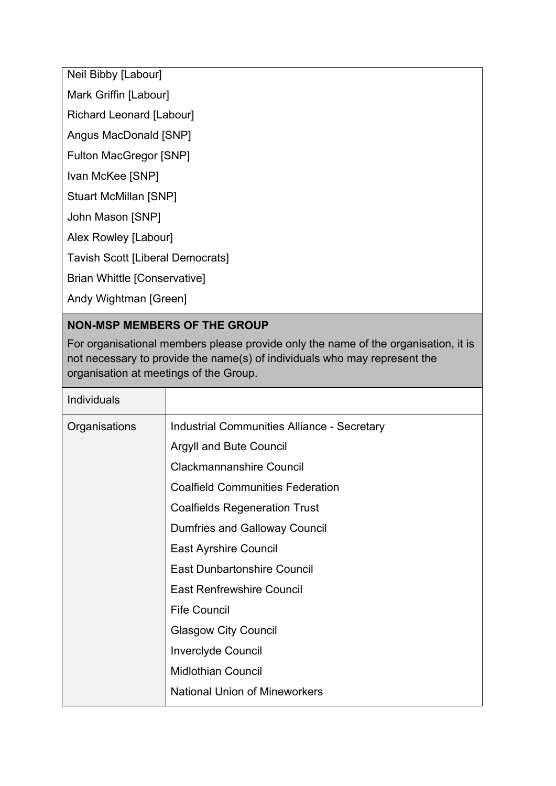Neil Bibby [Labour]

Mark Griffin [Labour]

Richard Leonard [Labour]

Angus MacDonald [SNP]

Fulton MacGregor [SNP]

Ivan McKee [SNP]

Stuart McMillan [SNP]

John Mason [SNP]

Alex Rowley [Labour]

Tavish Scott [Liberal Democrats]

Brian Whittle [Conservative]

Andy Wightman [Green]

# **NON-MSP MEMBERS OF THE GROUP**

For organisational members please provide only the name of the organisation, it is not necessary to provide the name(s) of individuals who may represent the organisation at meetings of the Group.

| <b>Individuals</b> |                                             |
|--------------------|---------------------------------------------|
| Organisations      | Industrial Communities Alliance - Secretary |
|                    | <b>Argyll and Bute Council</b>              |
|                    | <b>Clackmannanshire Council</b>             |
|                    | <b>Coalfield Communities Federation</b>     |
|                    | <b>Coalfields Regeneration Trust</b>        |
|                    | <b>Dumfries and Galloway Council</b>        |
|                    | <b>East Ayrshire Council</b>                |
|                    | <b>East Dunbartonshire Council</b>          |
|                    | <b>East Renfrewshire Council</b>            |
|                    | <b>Fife Council</b>                         |
|                    | <b>Glasgow City Council</b>                 |
|                    | <b>Inverclyde Council</b>                   |
|                    | <b>Midlothian Council</b>                   |
|                    | <b>National Union of Mineworkers</b>        |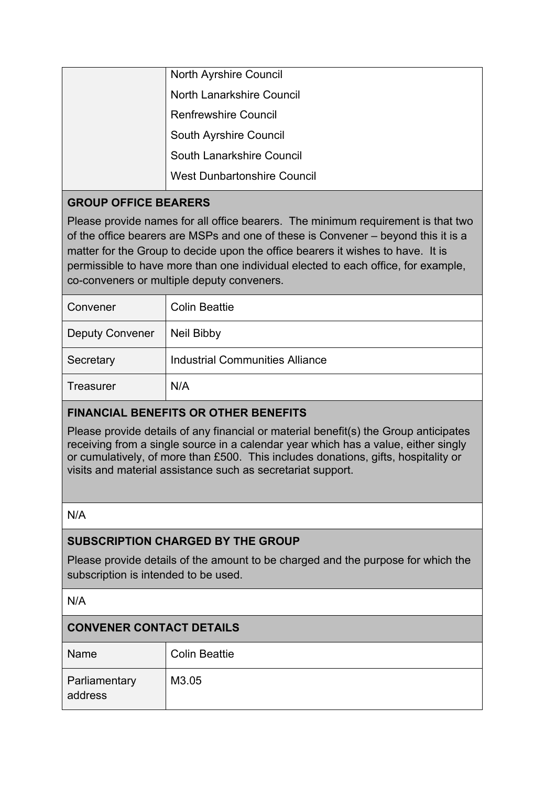| <b>North Ayrshire Council</b>      |
|------------------------------------|
| <b>North Lanarkshire Council</b>   |
| <b>Renfrewshire Council</b>        |
| South Ayrshire Council             |
| <b>South Lanarkshire Council</b>   |
| <b>West Dunbartonshire Council</b> |

### **GROUP OFFICE BEARERS**

Please provide names for all office bearers. The minimum requirement is that two of the office bearers are MSPs and one of these is Convener – beyond this it is a matter for the Group to decide upon the office bearers it wishes to have. It is permissible to have more than one individual elected to each office, for example, co-conveners or multiple deputy conveners.

| Convener               | <b>Colin Beattie</b>                   |
|------------------------|----------------------------------------|
| <b>Deputy Convener</b> | Neil Bibby                             |
| Secretary              | <b>Industrial Communities Alliance</b> |
| Treasurer              | N/A                                    |

# **FINANCIAL BENEFITS OR OTHER BENEFITS**

Please provide details of any financial or material benefit(s) the Group anticipates receiving from a single source in a calendar year which has a value, either singly or cumulatively, of more than £500. This includes donations, gifts, hospitality or visits and material assistance such as secretariat support.

N/A

#### **SUBSCRIPTION CHARGED BY THE GROUP**

Please provide details of the amount to be charged and the purpose for which the subscription is intended to be used.

N/A

#### **CONVENER CONTACT DETAILS**

| Name                     | <b>Colin Beattie</b> |
|--------------------------|----------------------|
| Parliamentary<br>address | M3.05                |